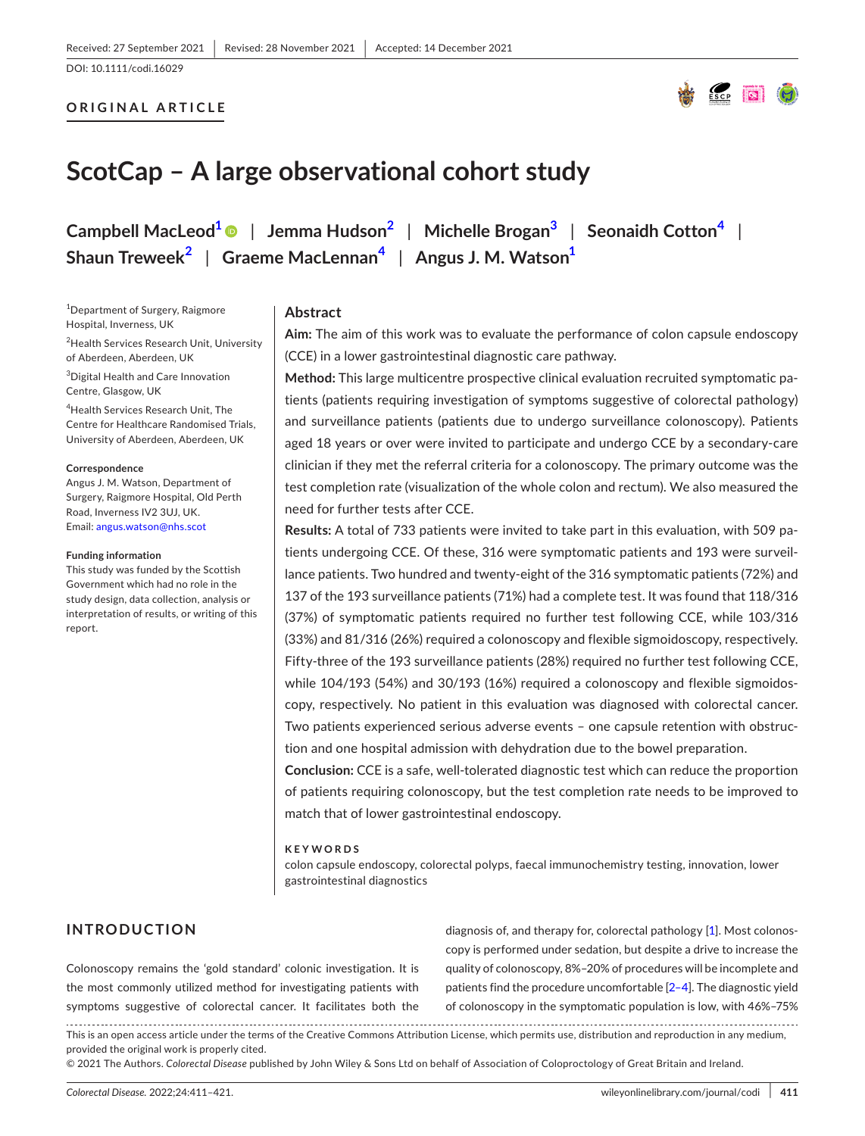DOI: 10.1111/codi.16029

# **ORIGINAL ARTICLE**



# **ScotCap – A large observational cohort study**

**Campbell MacLeo[d1](#page-0-0)** | **Jemma Hudso[n2](#page-0-1)** | **Michelle Brogan[3](#page-0-2)** | **Seonaidh Cotton[4](#page-0-3)** | **Shaun Treweek[2](#page-0-1)** | **Graeme MacLennan[4](#page-0-3)** | **Angus J. M. Watso[n1](#page-0-0)**

<span id="page-0-0"></span><sup>1</sup>Department of Surgery, Raigmore Hospital, Inverness, UK

<span id="page-0-1"></span><sup>2</sup>Health Services Research Unit, University of Aberdeen, Aberdeen, UK

<span id="page-0-2"></span>3 Digital Health and Care Innovation Centre, Glasgow, UK

<span id="page-0-3"></span>4 Health Services Research Unit, The Centre for Healthcare Randomised Trials, University of Aberdeen, Aberdeen, UK

#### **Correspondence**

Angus J. M. Watson, Department of Surgery, Raigmore Hospital, Old Perth Road, Inverness IV2 3UJ, UK. Email: [angus.watson@nhs.scot](mailto:angus.watson@nhs.scot)

#### **Funding information**

This study was funded by the Scottish Government which had no role in the study design, data collection, analysis or interpretation of results, or writing of this report.

## **Abstract**

**Aim:** The aim of this work was to evaluate the performance of colon capsule endoscopy (CCE) in a lower gastrointestinal diagnostic care pathway.

**Method:** This large multicentre prospective clinical evaluation recruited symptomatic patients (patients requiring investigation of symptoms suggestive of colorectal pathology) and surveillance patients (patients due to undergo surveillance colonoscopy). Patients aged 18 years or over were invited to participate and undergo CCE by a secondary-care clinician if they met the referral criteria for a colonoscopy. The primary outcome was the test completion rate (visualization of the whole colon and rectum). We also measured the need for further tests after CCE.

**Results:** A total of 733 patients were invited to take part in this evaluation, with 509 patients undergoing CCE. Of these, 316 were symptomatic patients and 193 were surveillance patients. Two hundred and twenty-eight of the 316 symptomatic patients (72%) and 137 of the 193 surveillance patients (71%) had a complete test. It was found that 118/316 (37%) of symptomatic patients required no further test following CCE, while 103/316 (33%) and 81/316 (26%) required a colonoscopy and flexible sigmoidoscopy, respectively. Fifty-three of the 193 surveillance patients (28%) required no further test following CCE, while 104/193 (54%) and 30/193 (16%) required a colonoscopy and flexible sigmoidoscopy, respectively. No patient in this evaluation was diagnosed with colorectal cancer. Two patients experienced serious adverse events – one capsule retention with obstruction and one hospital admission with dehydration due to the bowel preparation.

**Conclusion:** CCE is a safe, well-tolerated diagnostic test which can reduce the proportion of patients requiring colonoscopy, but the test completion rate needs to be improved to match that of lower gastrointestinal endoscopy.

#### **KEYWORDS**

colon capsule endoscopy, colorectal polyps, faecal immunochemistry testing, innovation, lower gastrointestinal diagnostics

# **INTRODUCTION**

Colonoscopy remains the 'gold standard' colonic investigation. It is the most commonly utilized method for investigating patients with symptoms suggestive of colorectal cancer. It facilitates both the diagnosis of, and therapy for, colorectal pathology [\[1](#page-7-0)]. Most colonoscopy is performed under sedation, but despite a drive to increase the quality of colonoscopy, 8%–20% of procedures will be incomplete and patients find the procedure uncomfortable [\[2–4\]](#page-7-1). The diagnostic yield of colonoscopy in the symptomatic population is low, with 46%–75%

This is an open access article under the terms of the Creative Commons Attribution License, which permits use, distribution and reproduction in any medium, provided the original work is properly cited.

© 2021 The Authors. *Colorectal Disease* published by John Wiley & Sons Ltd on behalf of Association of Coloproctology of Great Britain and Ireland.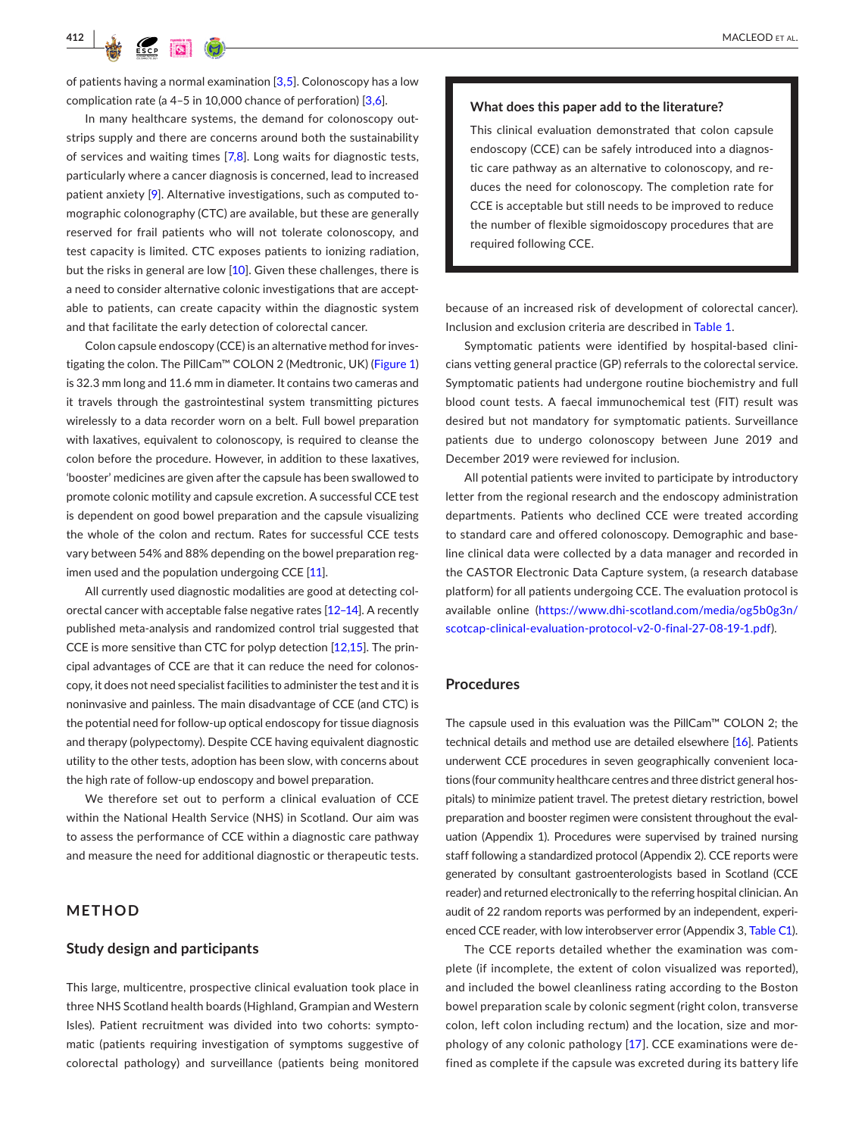

of patients having a normal examination  $[3,5]$ . Colonoscopy has a low complication rate (a 4–5 in 10,000 chance of perforation) [[3,6\]](#page-7-2).

In many healthcare systems, the demand for colonoscopy outstrips supply and there are concerns around both the sustainability of services and waiting times  $[7,8]$  $[7,8]$  $[7,8]$ . Long waits for diagnostic tests, particularly where a cancer diagnosis is concerned, lead to increased patient anxiety [[9\]](#page-7-4). Alternative investigations, such as computed tomographic colonography (CTC) are available, but these are generally reserved for frail patients who will not tolerate colonoscopy, and test capacity is limited. CTC exposes patients to ionizing radiation, but the risks in general are low [\[10\]](#page-8-0). Given these challenges, there is a need to consider alternative colonic investigations that are acceptable to patients, can create capacity within the diagnostic system and that facilitate the early detection of colorectal cancer.

Colon capsule endoscopy (CCE) is an alternative method for inves-tigating the colon. The PillCam™ COLON 2 (Medtronic, UK) (Figure [1](#page-2-0)) is 32.3 mm long and 11.6 mm in diameter. It contains two cameras and it travels through the gastrointestinal system transmitting pictures wirelessly to a data recorder worn on a belt. Full bowel preparation with laxatives, equivalent to colonoscopy, is required to cleanse the colon before the procedure. However, in addition to these laxatives, 'booster' medicines are given after the capsule has been swallowed to promote colonic motility and capsule excretion. A successful CCE test is dependent on good bowel preparation and the capsule visualizing the whole of the colon and rectum. Rates for successful CCE tests vary between 54% and 88% depending on the bowel preparation reg-imen used and the population undergoing CCE [\[11\]](#page-8-1).

All currently used diagnostic modalities are good at detecting colorectal cancer with acceptable false negative rates [\[12–14](#page-8-2)]. A recently published meta-analysis and randomized control trial suggested that CCE is more sensitive than CTC for polyp detection [\[12,15\]](#page-8-2). The principal advantages of CCE are that it can reduce the need for colonoscopy, it does not need specialist facilities to administer the test and it is noninvasive and painless. The main disadvantage of CCE (and CTC) is the potential need for follow-up optical endoscopy for tissue diagnosis and therapy (polypectomy). Despite CCE having equivalent diagnostic utility to the other tests, adoption has been slow, with concerns about the high rate of follow-up endoscopy and bowel preparation.

We therefore set out to perform a clinical evaluation of CCE within the National Health Service (NHS) in Scotland. Our aim was to assess the performance of CCE within a diagnostic care pathway and measure the need for additional diagnostic or therapeutic tests.

# **METHOD**

## **Study design and participants**

This large, multicentre, prospective clinical evaluation took place in three NHS Scotland health boards (Highland, Grampian and Western Isles). Patient recruitment was divided into two cohorts: symptomatic (patients requiring investigation of symptoms suggestive of colorectal pathology) and surveillance (patients being monitored

#### **What does this paper add to the literature?**

This clinical evaluation demonstrated that colon capsule endoscopy (CCE) can be safely introduced into a diagnostic care pathway as an alternative to colonoscopy, and reduces the need for colonoscopy. The completion rate for CCE is acceptable but still needs to be improved to reduce the number of flexible sigmoidoscopy procedures that are required following CCE.

because of an increased risk of development of colorectal cancer). Inclusion and exclusion criteria are described in Table [1.](#page-2-1)

Symptomatic patients were identified by hospital-based clinicians vetting general practice (GP) referrals to the colorectal service. Symptomatic patients had undergone routine biochemistry and full blood count tests. A faecal immunochemical test (FIT) result was desired but not mandatory for symptomatic patients. Surveillance patients due to undergo colonoscopy between June 2019 and December 2019 were reviewed for inclusion.

All potential patients were invited to participate by introductory letter from the regional research and the endoscopy administration departments. Patients who declined CCE were treated according to standard care and offered colonoscopy. Demographic and baseline clinical data were collected by a data manager and recorded in the CASTOR Electronic Data Capture system, (a research database platform) for all patients undergoing CCE. The evaluation protocol is available online ([https://www.dhi-scotland.com/media/og5b0g3n/](https://www.dhi-scotland.com/media/og5b0g3n/scotcap-clinical-evaluation-protocol-v2-0-final-27-08-19-1.pdf) [scotcap-clinical-evaluation-protocol-v2-0-final-27-08-19-1.pdf](https://www.dhi-scotland.com/media/og5b0g3n/scotcap-clinical-evaluation-protocol-v2-0-final-27-08-19-1.pdf)).

#### **Procedures**

The capsule used in this evaluation was the PillCam™ COLON 2; the technical details and method use are detailed elsewhere [\[16](#page-8-3)]. Patients underwent CCE procedures in seven geographically convenient locations (four community healthcare centres and three district general hospitals) to minimize patient travel. The pretest dietary restriction, bowel preparation and booster regimen were consistent throughout the evaluation (Appendix 1). Procedures were supervised by trained nursing staff following a standardized protocol (Appendix 2). CCE reports were generated by consultant gastroenterologists based in Scotland (CCE reader) and returned electronically to the referring hospital clinician. An audit of 22 random reports was performed by an independent, experienced CCE reader, with low interobserver error (Appendix 3, Table [C1\)](#page-9-0).

The CCE reports detailed whether the examination was complete (if incomplete, the extent of colon visualized was reported), and included the bowel cleanliness rating according to the Boston bowel preparation scale by colonic segment (right colon, transverse colon, left colon including rectum) and the location, size and morphology of any colonic pathology [\[17](#page-8-4)]. CCE examinations were defined as complete if the capsule was excreted during its battery life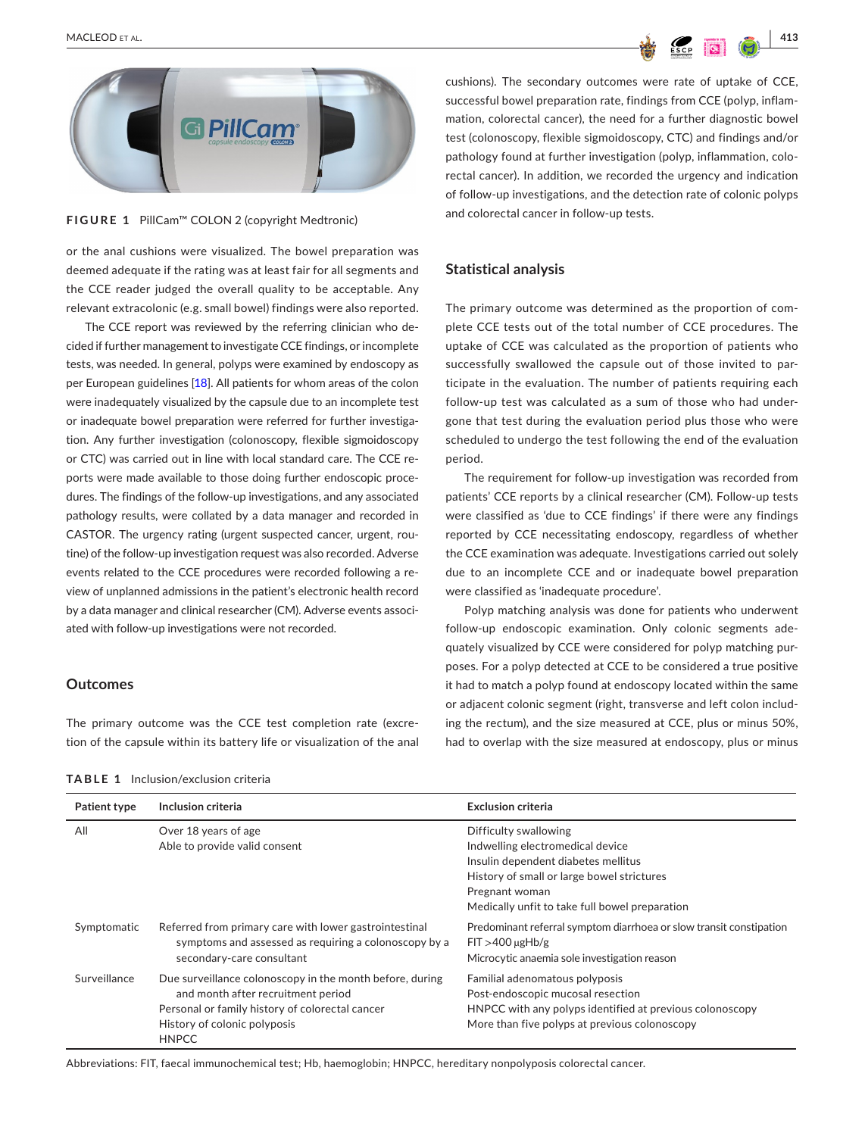

**FIGURE 1** PillCam™ COLON 2 (copyright Medtronic)

<span id="page-2-0"></span>or the anal cushions were visualized. The bowel preparation was deemed adequate if the rating was at least fair for all segments and the CCE reader judged the overall quality to be acceptable. Any relevant extracolonic (e.g. small bowel) findings were also reported.

The CCE report was reviewed by the referring clinician who decided if further management to investigate CCE findings, or incomplete tests, was needed. In general, polyps were examined by endoscopy as per European guidelines [\[18](#page-8-5)]. All patients for whom areas of the colon were inadequately visualized by the capsule due to an incomplete test or inadequate bowel preparation were referred for further investigation. Any further investigation (colonoscopy, flexible sigmoidoscopy or CTC) was carried out in line with local standard care. The CCE reports were made available to those doing further endoscopic procedures. The findings of the follow-up investigations, and any associated pathology results, were collated by a data manager and recorded in CASTOR. The urgency rating (urgent suspected cancer, urgent, routine) of the follow-up investigation request was also recorded. Adverse events related to the CCE procedures were recorded following a review of unplanned admissions in the patient's electronic health record by a data manager and clinical researcher (CM). Adverse events associated with follow-up investigations were not recorded.

#### **Outcomes**

The primary outcome was the CCE test completion rate (excretion of the capsule within its battery life or visualization of the anal

<span id="page-2-1"></span>**TABLE 1** Inclusion/exclusion criteria

cushions). The secondary outcomes were rate of uptake of CCE, successful bowel preparation rate, findings from CCE (polyp, inflammation, colorectal cancer), the need for a further diagnostic bowel test (colonoscopy, flexible sigmoidoscopy, CTC) and findings and/or pathology found at further investigation (polyp, inflammation, colorectal cancer). In addition, we recorded the urgency and indication of follow-up investigations, and the detection rate of colonic polyps and colorectal cancer in follow-up tests.

## **Statistical analysis**

The primary outcome was determined as the proportion of complete CCE tests out of the total number of CCE procedures. The uptake of CCE was calculated as the proportion of patients who successfully swallowed the capsule out of those invited to participate in the evaluation. The number of patients requiring each follow-up test was calculated as a sum of those who had undergone that test during the evaluation period plus those who were scheduled to undergo the test following the end of the evaluation period.

The requirement for follow-up investigation was recorded from patients' CCE reports by a clinical researcher (CM). Follow-up tests were classified as 'due to CCE findings' if there were any findings reported by CCE necessitating endoscopy, regardless of whether the CCE examination was adequate. Investigations carried out solely due to an incomplete CCE and or inadequate bowel preparation were classified as 'inadequate procedure'.

Polyp matching analysis was done for patients who underwent follow-up endoscopic examination. Only colonic segments adequately visualized by CCE were considered for polyp matching purposes. For a polyp detected at CCE to be considered a true positive it had to match a polyp found at endoscopy located within the same or adjacent colonic segment (right, transverse and left colon including the rectum), and the size measured at CCE, plus or minus 50%, had to overlap with the size measured at endoscopy, plus or minus

| Patient type | Inclusion criteria                                                                                                                                                                                | <b>Exclusion criteria</b>                                                                                                                                                                                          |
|--------------|---------------------------------------------------------------------------------------------------------------------------------------------------------------------------------------------------|--------------------------------------------------------------------------------------------------------------------------------------------------------------------------------------------------------------------|
| All          | Over 18 years of age<br>Able to provide valid consent                                                                                                                                             | Difficulty swallowing<br>Indwelling electromedical device<br>Insulin dependent diabetes mellitus<br>History of small or large bowel strictures<br>Pregnant woman<br>Medically unfit to take full bowel preparation |
| Symptomatic  | Referred from primary care with lower gastrointestinal<br>symptoms and assessed as requiring a colonoscopy by a<br>secondary-care consultant                                                      | Predominant referral symptom diarrhoea or slow transit constipation<br>$FI > 400 \mu gHb/g$<br>Microcytic anaemia sole investigation reason                                                                        |
| Surveillance | Due surveillance colonoscopy in the month before, during<br>and month after recruitment period<br>Personal or family history of colorectal cancer<br>History of colonic polyposis<br><b>HNPCC</b> | Familial adenomatous polyposis<br>Post-endoscopic mucosal resection<br>HNPCC with any polyps identified at previous colonoscopy<br>More than five polyps at previous colonoscopy                                   |

Abbreviations: FIT, faecal immunochemical test; Hb, haemoglobin; HNPCC, hereditary nonpolyposis colorectal cancer.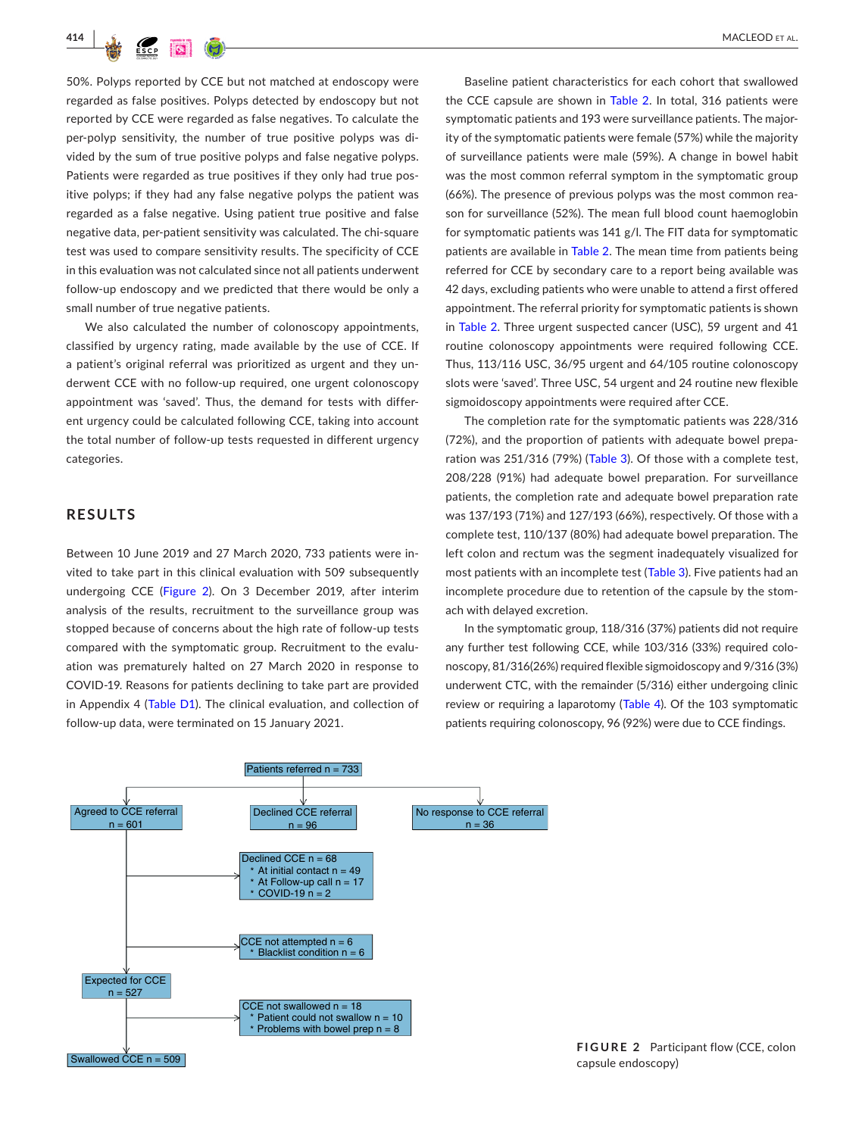

50%. Polyps reported by CCE but not matched at endoscopy were regarded as false positives. Polyps detected by endoscopy but not reported by CCE were regarded as false negatives. To calculate the per-polyp sensitivity, the number of true positive polyps was divided by the sum of true positive polyps and false negative polyps. Patients were regarded as true positives if they only had true positive polyps; if they had any false negative polyps the patient was regarded as a false negative. Using patient true positive and false negative data, per-patient sensitivity was calculated. The chi-square test was used to compare sensitivity results. The specificity of CCE in this evaluation was not calculated since not all patients underwent follow-up endoscopy and we predicted that there would be only a small number of true negative patients.

We also calculated the number of colonoscopy appointments, classified by urgency rating, made available by the use of CCE. If a patient's original referral was prioritized as urgent and they underwent CCE with no follow-up required, one urgent colonoscopy appointment was 'saved'. Thus, the demand for tests with different urgency could be calculated following CCE, taking into account the total number of follow-up tests requested in different urgency categories.

## **RESULTS**

Between 10 June 2019 and 27 March 2020, 733 patients were invited to take part in this clinical evaluation with 509 subsequently undergoing CCE (Figure [2](#page-3-0)). On 3 December 2019, after interim analysis of the results, recruitment to the surveillance group was stopped because of concerns about the high rate of follow-up tests compared with the symptomatic group. Recruitment to the evaluation was prematurely halted on 27 March 2020 in response to COVID-19. Reasons for patients declining to take part are provided in Appendix 4 (Table [D1](#page-10-0)). The clinical evaluation, and collection of follow-up data, were terminated on 15 January 2021.

Baseline patient characteristics for each cohort that swallowed the CCE capsule are shown in Table [2](#page-4-0). In total, 316 patients were symptomatic patients and 193 were surveillance patients. The majority of the symptomatic patients were female (57%) while the majority of surveillance patients were male (59%). A change in bowel habit was the most common referral symptom in the symptomatic group (66%). The presence of previous polyps was the most common reason for surveillance (52%). The mean full blood count haemoglobin for symptomatic patients was 141 g/l. The FIT data for symptomatic patients are available in Table [2.](#page-4-0) The mean time from patients being referred for CCE by secondary care to a report being available was 42 days, excluding patients who were unable to attend a first offered appointment. The referral priority for symptomatic patients is shown in Table [2](#page-4-0). Three urgent suspected cancer (USC), 59 urgent and 41 routine colonoscopy appointments were required following CCE. Thus, 113/116 USC, 36/95 urgent and 64/105 routine colonoscopy slots were 'saved'. Three USC, 54 urgent and 24 routine new flexible sigmoidoscopy appointments were required after CCE.

The completion rate for the symptomatic patients was 228/316 (72%), and the proportion of patients with adequate bowel preparation was 251/316 (79%) (Table [3](#page-5-0)). Of those with a complete test, 208/228 (91%) had adequate bowel preparation. For surveillance patients, the completion rate and adequate bowel preparation rate was 137/193 (71%) and 127/193 (66%), respectively. Of those with a complete test, 110/137 (80%) had adequate bowel preparation. The left colon and rectum was the segment inadequately visualized for most patients with an incomplete test (Table [3\)](#page-5-0). Five patients had an incomplete procedure due to retention of the capsule by the stomach with delayed excretion.

In the symptomatic group, 118/316 (37%) patients did not require any further test following CCE, while 103/316 (33%) required colonoscopy, 81/316(26%) required flexible sigmoidoscopy and 9/316 (3%) underwent CTC, with the remainder (5/316) either undergoing clinic review or requiring a laparotomy (Table [4](#page-6-0)). Of the 103 symptomatic patients requiring colonoscopy, 96 (92%) were due to CCE findings.



<span id="page-3-0"></span>**FIGURE 2** Participant flow (CCE, colon capsule endoscopy)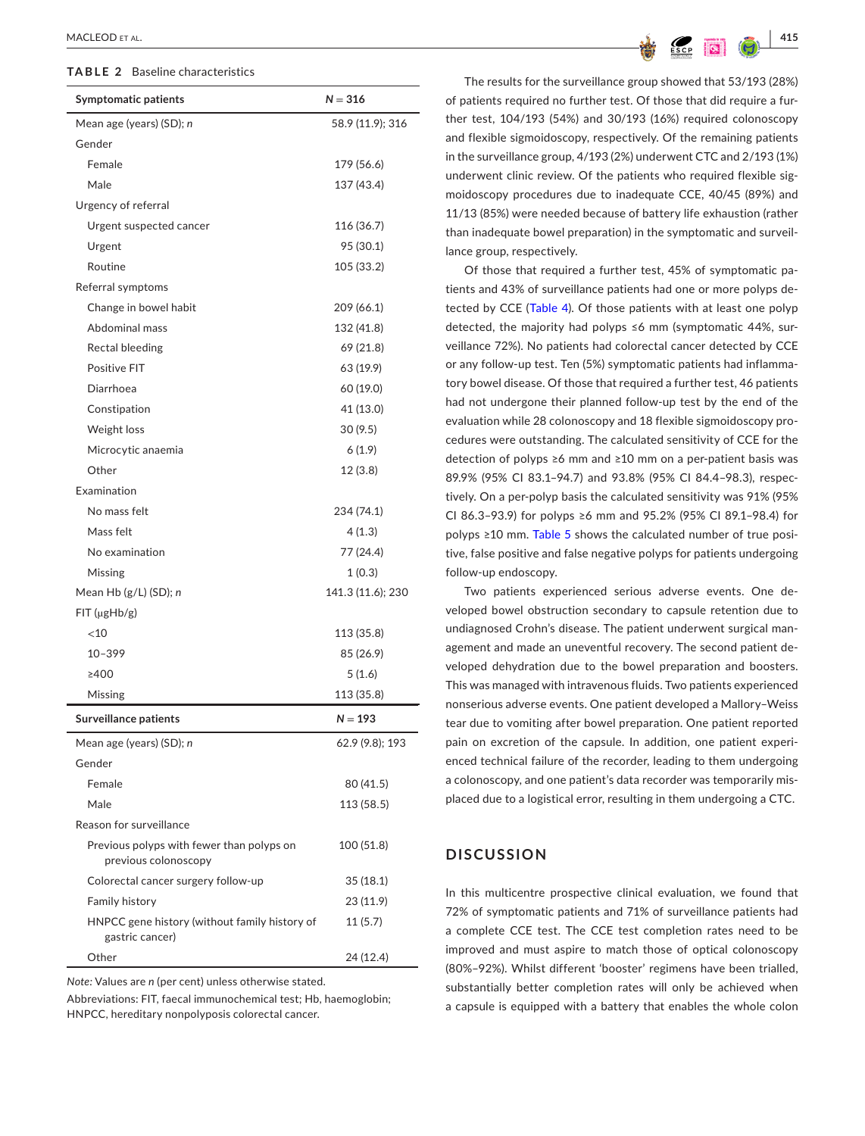#### <span id="page-4-0"></span>**TABLE 2** Baseline characteristics

| <b>Symptomatic patients</b>                                       | $N = 316$         |
|-------------------------------------------------------------------|-------------------|
| Mean age (years) (SD); n                                          | 58.9 (11.9); 316  |
| Gender                                                            |                   |
| Female                                                            | 179 (56.6)        |
| Male                                                              | 137 (43.4)        |
| Urgency of referral                                               |                   |
| Urgent suspected cancer                                           | 116 (36.7)        |
| Urgent                                                            | 95 (30.1)         |
| Routine                                                           | 105 (33.2)        |
| Referral symptoms                                                 |                   |
| Change in bowel habit                                             | 209 (66.1)        |
| Abdominal mass                                                    | 132 (41.8)        |
| Rectal bleeding                                                   | 69 (21.8)         |
| Positive FIT                                                      | 63 (19.9)         |
| Diarrhoea                                                         | 60 (19.0)         |
| Constipation                                                      | 41 (13.0)         |
| Weight loss                                                       | 30 (9.5)          |
| Microcytic anaemia                                                | 6(1.9)            |
| Other                                                             | 12 (3.8)          |
| <b>Examination</b>                                                |                   |
| No mass felt                                                      | 234 (74.1)        |
| Mass felt                                                         | 4(1.3)            |
| No examination                                                    | 77 (24.4)         |
| Missing                                                           | 1(0.3)            |
| Mean Hb (g/L) (SD); n                                             | 141.3 (11.6); 230 |
| FIT (µgHb/g)                                                      |                   |
| $<$ 10                                                            | 113 (35.8)        |
| $10 - 399$                                                        | 85 (26.9)         |
| ≥400                                                              | 5(1.6)            |
| Missing                                                           | 113 (35.8)        |
| <b>Surveillance patients</b>                                      | $N = 193$         |
| Mean age (years) (SD); n                                          | 62.9 (9.8); 193   |
| Gender                                                            |                   |
| Female                                                            | 80 (41.5)         |
| Male                                                              | 113 (58.5)        |
| Reason for surveillance                                           |                   |
| Previous polyps with fewer than polyps on<br>previous colonoscopy | 100 (51.8)        |
| Colorectal cancer surgery follow-up                               | 35(18.1)          |
| <b>Family history</b>                                             | 23 (11.9)         |
| HNPCC gene history (without family history of<br>gastric cancer)  | 11(5.7)           |
| Other                                                             | 24 (12.4)         |
| Nata: Values are n (per sept) upless otherwise stated             |                   |

*Note:* Values are *n* (per cent) unless otherwise stated.

Abbreviations: FIT, faecal immunochemical test; Hb, haemoglobin; HNPCC, hereditary nonpolyposis colorectal cancer.

The results for the surveillance group showed that 53/193 (28%) of patients required no further test. Of those that did require a further test, 104/193 (54%) and 30/193 (16%) required colonoscopy and flexible sigmoidoscopy, respectively. Of the remaining patients in the surveillance group, 4/193 (2%) underwent CTC and 2/193 (1%) underwent clinic review. Of the patients who required flexible sigmoidoscopy procedures due to inadequate CCE, 40/45 (89%) and 11/13 (85%) were needed because of battery life exhaustion (rather than inadequate bowel preparation) in the symptomatic and surveillance group, respectively.

Of those that required a further test, 45% of symptomatic patients and 43% of surveillance patients had one or more polyps detected by CCE (Table [4](#page-6-0)). Of those patients with at least one polyp detected, the majority had polyps ≤6 mm (symptomatic 44%, surveillance 72%). No patients had colorectal cancer detected by CCE or any follow-up test. Ten (5%) symptomatic patients had inflammatory bowel disease. Of those that required a further test, 46 patients had not undergone their planned follow-up test by the end of the evaluation while 28 colonoscopy and 18 flexible sigmoidoscopy procedures were outstanding. The calculated sensitivity of CCE for the detection of polyps ≥6 mm and ≥10 mm on a per-patient basis was 89.9% (95% CI 83.1–94.7) and 93.8% (95% CI 84.4–98.3), respectively. On a per-polyp basis the calculated sensitivity was 91% (95% CI 86.3–93.9) for polyps ≥6 mm and 95.2% (95% CI 89.1–98.4) for polyps ≥10 mm. Table [5](#page-6-1) shows the calculated number of true positive, false positive and false negative polyps for patients undergoing follow-up endoscopy.

Two patients experienced serious adverse events. One developed bowel obstruction secondary to capsule retention due to undiagnosed Crohn's disease. The patient underwent surgical management and made an uneventful recovery. The second patient developed dehydration due to the bowel preparation and boosters. This was managed with intravenous fluids. Two patients experienced nonserious adverse events. One patient developed a Mallory–Weiss tear due to vomiting after bowel preparation. One patient reported pain on excretion of the capsule. In addition, one patient experienced technical failure of the recorder, leading to them undergoing a colonoscopy, and one patient's data recorder was temporarily misplaced due to a logistical error, resulting in them undergoing a CTC.

# **DISCUSSION**

In this multicentre prospective clinical evaluation, we found that 72% of symptomatic patients and 71% of surveillance patients had a complete CCE test. The CCE test completion rates need to be improved and must aspire to match those of optical colonoscopy (80%–92%). Whilst different 'booster' regimens have been trialled, substantially better completion rates will only be achieved when a capsule is equipped with a battery that enables the whole colon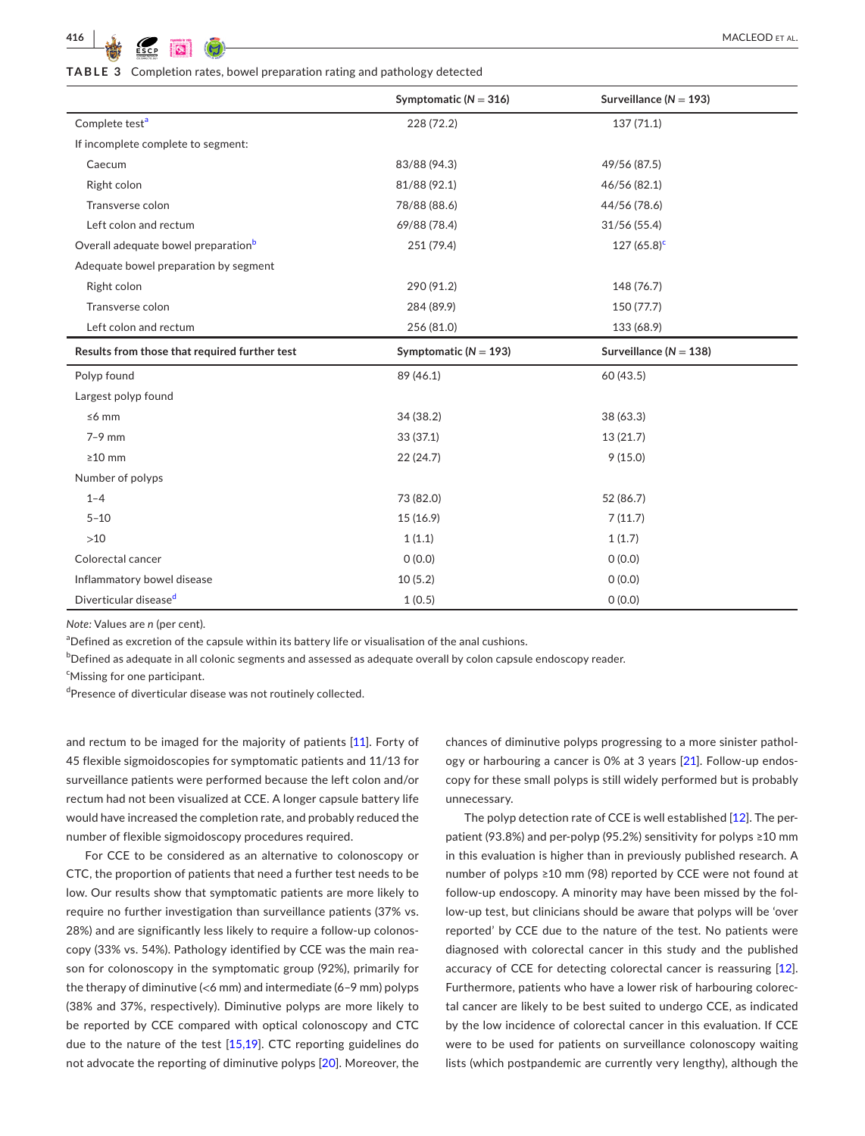<span id="page-5-0"></span>**TABLE 3** Completion rates, bowel preparation rating and pathology detected

|                                                 | Symptomatic ( $N = 316$ ) | Surveillance ( $N = 193$ ) |
|-------------------------------------------------|---------------------------|----------------------------|
| Complete test <sup>a</sup>                      | 228 (72.2)                | 137(71.1)                  |
| If incomplete complete to segment:              |                           |                            |
| Caecum                                          | 83/88 (94.3)              | 49/56 (87.5)               |
| Right colon                                     | 81/88 (92.1)              | 46/56 (82.1)               |
| Transverse colon                                | 78/88 (88.6)              | 44/56 (78.6)               |
| Left colon and rectum                           | 69/88 (78.4)              | 31/56(55.4)                |
| Overall adequate bowel preparation <sup>b</sup> | 251 (79.4)                | $127(65.8)^c$              |
| Adequate bowel preparation by segment           |                           |                            |
| Right colon                                     | 290 (91.2)                | 148 (76.7)                 |
| Transverse colon                                | 284 (89.9)                | 150 (77.7)                 |
| Left colon and rectum                           | 256 (81.0)                | 133 (68.9)                 |
| Results from those that required further test   | Symptomatic ( $N = 193$ ) | Surveillance ( $N = 138$ ) |
| Polyp found                                     | 89 (46.1)                 | 60 (43.5)                  |
| Largest polyp found                             |                           |                            |
| $\leq 6$ mm                                     | 34(38.2)                  | 38 (63.3)                  |
| $7-9$ mm                                        | 33(37.1)                  | 13(21.7)                   |
| $\geq$ 10 mm                                    | 22(24.7)                  | 9(15.0)                    |
| Number of polyps                                |                           |                            |
| $1 - 4$                                         | 73 (82.0)                 | 52 (86.7)                  |
| $5 - 10$                                        | 15 (16.9)                 | 7(11.7)                    |
| $>10$                                           | 1(1.1)                    | 1(1.7)                     |
| Colorectal cancer                               | 0(0.0)                    | 0(0.0)                     |
| Inflammatory bowel disease                      | 10(5.2)                   | 0(0.0)                     |
| Diverticular disease <sup>d</sup>               | 1(0.5)                    | 0(0.0)                     |

*Note:* Values are *n* (per cent).

<span id="page-5-1"></span><sup>a</sup>Defined as excretion of the capsule within its battery life or visualisation of the anal cushions.

<span id="page-5-2"></span> $^{\rm b}$ Defined as adequate in all colonic segments and assessed as adequate overall by colon capsule endoscopy reader.

<span id="page-5-3"></span><sup>c</sup>Missing for one participant.

<span id="page-5-4"></span><sup>d</sup>Presence of diverticular disease was not routinely collected.

and rectum to be imaged for the majority of patients [\[11\]](#page-8-1). Forty of 45 flexible sigmoidoscopies for symptomatic patients and 11/13 for surveillance patients were performed because the left colon and/or rectum had not been visualized at CCE. A longer capsule battery life would have increased the completion rate, and probably reduced the number of flexible sigmoidoscopy procedures required.

For CCE to be considered as an alternative to colonoscopy or CTC, the proportion of patients that need a further test needs to be low. Our results show that symptomatic patients are more likely to require no further investigation than surveillance patients (37% vs. 28%) and are significantly less likely to require a follow-up colonoscopy (33% vs. 54%). Pathology identified by CCE was the main reason for colonoscopy in the symptomatic group (92%), primarily for the therapy of diminutive (<6 mm) and intermediate (6–9 mm) polyps (38% and 37%, respectively). Diminutive polyps are more likely to be reported by CCE compared with optical colonoscopy and CTC due to the nature of the test  $[15,19]$  $[15,19]$  $[15,19]$ . CTC reporting guidelines do not advocate the reporting of diminutive polyps [[20](#page-8-7)]. Moreover, the chances of diminutive polyps progressing to a more sinister pathology or harbouring a cancer is 0% at 3 years [\[21](#page-8-8)]. Follow-up endoscopy for these small polyps is still widely performed but is probably unnecessary.

The polyp detection rate of CCE is well established [\[12](#page-8-2)]. The perpatient (93.8%) and per-polyp (95.2%) sensitivity for polyps ≥10 mm in this evaluation is higher than in previously published research. A number of polyps ≥10 mm (98) reported by CCE were not found at follow-up endoscopy. A minority may have been missed by the follow-up test, but clinicians should be aware that polyps will be 'over reported' by CCE due to the nature of the test. No patients were diagnosed with colorectal cancer in this study and the published accuracy of CCE for detecting colorectal cancer is reassuring [\[12](#page-8-2)]. Furthermore, patients who have a lower risk of harbouring colorectal cancer are likely to be best suited to undergo CCE, as indicated by the low incidence of colorectal cancer in this evaluation. If CCE were to be used for patients on surveillance colonoscopy waiting lists (which postpandemic are currently very lengthy), although the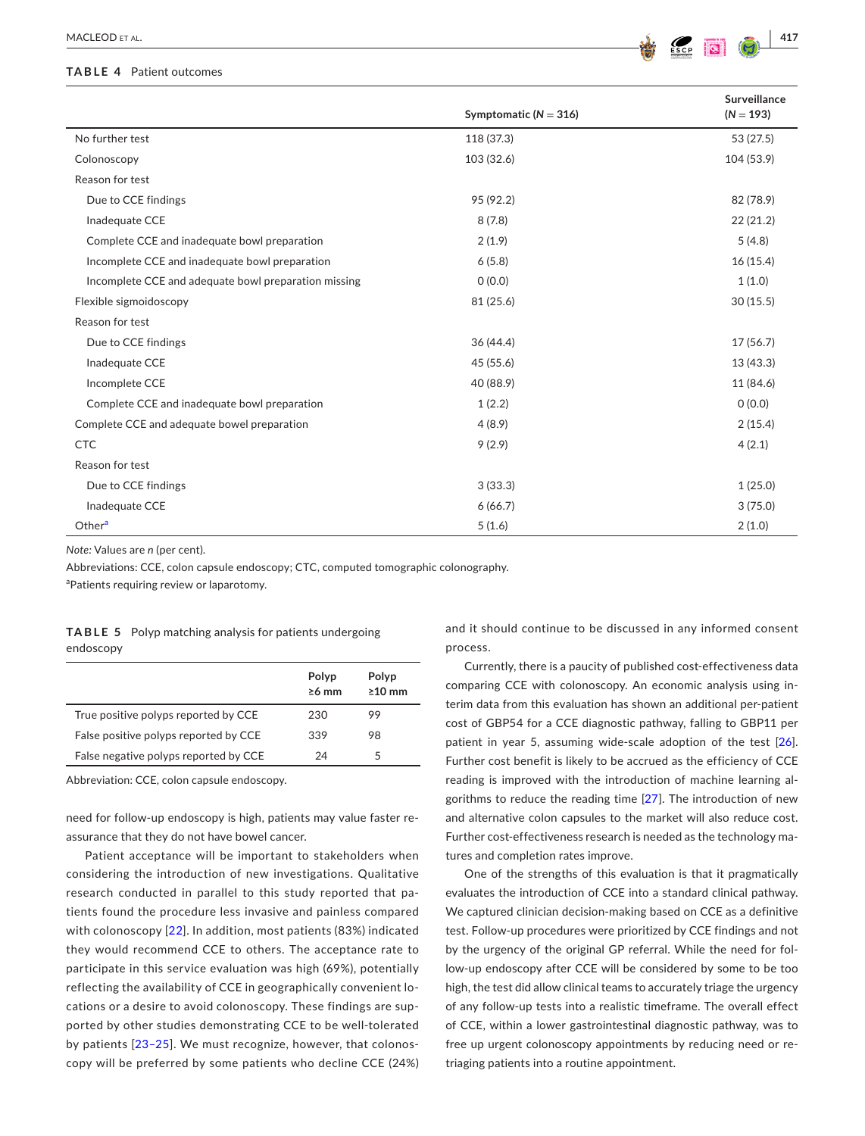#### <span id="page-6-0"></span>**TABLE 4** Patient outcomes



|                                                      | Symptomatic ( $N = 316$ ) | Surveillance<br>$(N = 193)$ |
|------------------------------------------------------|---------------------------|-----------------------------|
| No further test                                      | 118 (37.3)                | 53 (27.5)                   |
| Colonoscopy                                          | 103 (32.6)                | 104 (53.9)                  |
| Reason for test                                      |                           |                             |
| Due to CCE findings                                  | 95 (92.2)                 | 82 (78.9)                   |
| Inadequate CCE                                       | 8(7.8)                    | 22(21.2)                    |
| Complete CCE and inadequate bowl preparation         | 2(1.9)                    | 5(4.8)                      |
| Incomplete CCE and inadequate bowl preparation       | 6(5.8)                    | 16(15.4)                    |
| Incomplete CCE and adequate bowl preparation missing | 0(0.0)                    | 1(1.0)                      |
| Flexible sigmoidoscopy                               | 81 (25.6)                 | 30(15.5)                    |
| Reason for test                                      |                           |                             |
| Due to CCE findings                                  | 36(44.4)                  | 17(56.7)                    |
| Inadequate CCE                                       | 45 (55.6)                 | 13(43.3)                    |
| Incomplete CCE                                       | 40 (88.9)                 | 11 (84.6)                   |
| Complete CCE and inadequate bowl preparation         | 1(2.2)                    | 0(0.0)                      |
| Complete CCE and adequate bowel preparation          | 4(8.9)                    | 2(15.4)                     |
| <b>CTC</b>                                           | 9(2.9)                    | 4(2.1)                      |
| Reason for test                                      |                           |                             |
| Due to CCE findings                                  | 3(33.3)                   | 1(25.0)                     |
| Inadequate CCE                                       | 6(66.7)                   | 3(75.0)                     |
| Other <sup>a</sup>                                   | 5(1.6)                    | 2(1.0)                      |

*Note:* Values are *n* (per cent).

Abbreviations: CCE, colon capsule endoscopy; CTC, computed tomographic colonography.

<span id="page-6-2"></span><sup>a</sup>Patients requiring review or laparotomy.

<span id="page-6-1"></span>

|           | <b>TABLE 5</b> Polyp matching analysis for patients undergoing |
|-----------|----------------------------------------------------------------|
| endoscopy |                                                                |

|                                       | Polyp<br>$\geq 6$ mm | Polyp<br>$\geq 10$ mm |
|---------------------------------------|----------------------|-----------------------|
| True positive polyps reported by CCE  | 230                  | 99                    |
| False positive polyps reported by CCE | 339                  | 98                    |
| False negative polyps reported by CCE | 24                   | 5                     |

Abbreviation: CCE, colon capsule endoscopy.

need for follow-up endoscopy is high, patients may value faster reassurance that they do not have bowel cancer.

Patient acceptance will be important to stakeholders when considering the introduction of new investigations. Qualitative research conducted in parallel to this study reported that patients found the procedure less invasive and painless compared with colonoscopy [\[22\]](#page-8-9). In addition, most patients (83%) indicated they would recommend CCE to others. The acceptance rate to participate in this service evaluation was high (69%), potentially reflecting the availability of CCE in geographically convenient locations or a desire to avoid colonoscopy. These findings are supported by other studies demonstrating CCE to be well-tolerated by patients [[23–25](#page-8-10)]. We must recognize, however, that colonoscopy will be preferred by some patients who decline CCE (24%)

and it should continue to be discussed in any informed consent process.

Currently, there is a paucity of published cost-effectiveness data comparing CCE with colonoscopy. An economic analysis using interim data from this evaluation has shown an additional per-patient cost of GBP54 for a CCE diagnostic pathway, falling to GBP11 per patient in year 5, assuming wide-scale adoption of the test [\[26](#page-8-11)]. Further cost benefit is likely to be accrued as the efficiency of CCE reading is improved with the introduction of machine learning algorithms to reduce the reading time [\[27](#page-8-12)]. The introduction of new and alternative colon capsules to the market will also reduce cost. Further cost-effectiveness research is needed as the technology matures and completion rates improve.

One of the strengths of this evaluation is that it pragmatically evaluates the introduction of CCE into a standard clinical pathway. We captured clinician decision-making based on CCE as a definitive test. Follow-up procedures were prioritized by CCE findings and not by the urgency of the original GP referral. While the need for follow-up endoscopy after CCE will be considered by some to be too high, the test did allow clinical teams to accurately triage the urgency of any follow-up tests into a realistic timeframe. The overall effect of CCE, within a lower gastrointestinal diagnostic pathway, was to free up urgent colonoscopy appointments by reducing need or retriaging patients into a routine appointment.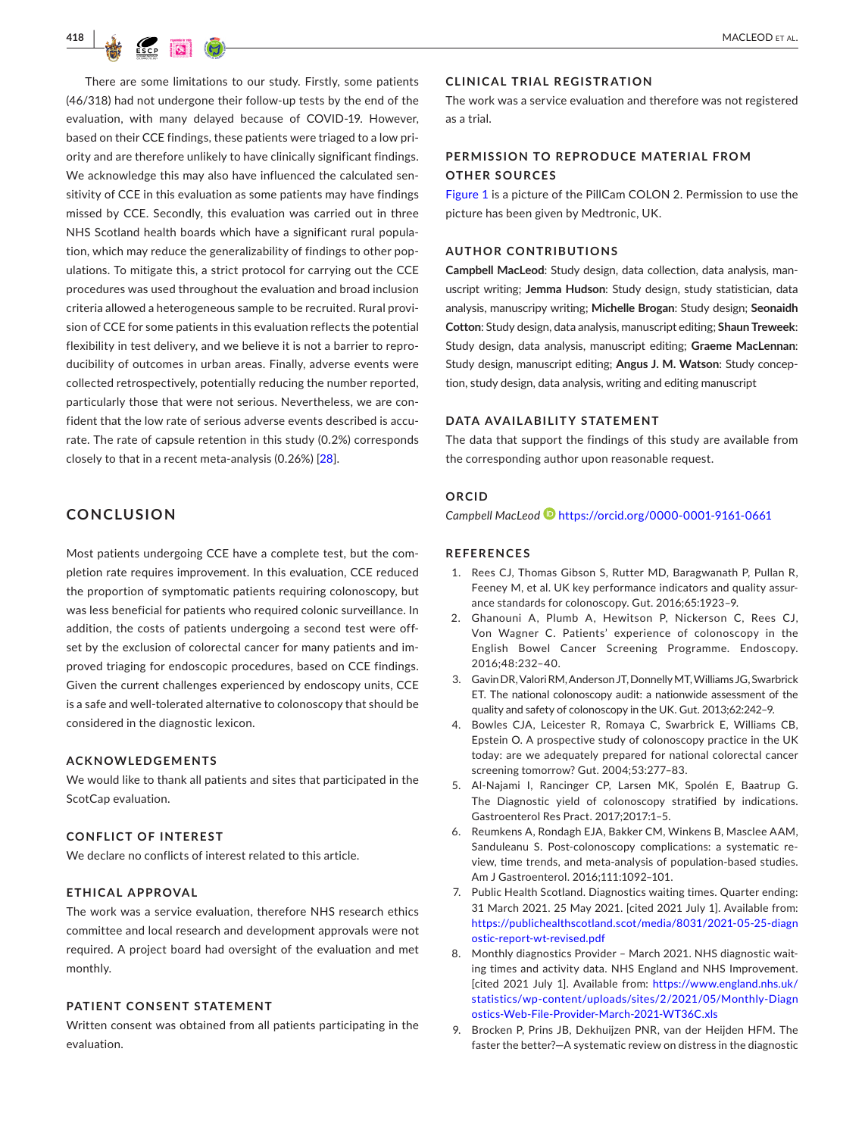

There are some limitations to our study. Firstly, some patients (46/318) had not undergone their follow-up tests by the end of the evaluation, with many delayed because of COVID-19. However, based on their CCE findings, these patients were triaged to a low priority and are therefore unlikely to have clinically significant findings. We acknowledge this may also have influenced the calculated sensitivity of CCE in this evaluation as some patients may have findings missed by CCE. Secondly, this evaluation was carried out in three NHS Scotland health boards which have a significant rural population, which may reduce the generalizability of findings to other populations. To mitigate this, a strict protocol for carrying out the CCE procedures was used throughout the evaluation and broad inclusion criteria allowed a heterogeneous sample to be recruited. Rural provision of CCE for some patients in this evaluation reflects the potential flexibility in test delivery, and we believe it is not a barrier to reproducibility of outcomes in urban areas. Finally, adverse events were collected retrospectively, potentially reducing the number reported, particularly those that were not serious. Nevertheless, we are confident that the low rate of serious adverse events described is accurate. The rate of capsule retention in this study (0.2%) corresponds closely to that in a recent meta-analysis (0.26%) [\[28](#page-8-13)].

# **CONCLUSION**

Most patients undergoing CCE have a complete test, but the completion rate requires improvement. In this evaluation, CCE reduced the proportion of symptomatic patients requiring colonoscopy, but was less beneficial for patients who required colonic surveillance. In addition, the costs of patients undergoing a second test were offset by the exclusion of colorectal cancer for many patients and improved triaging for endoscopic procedures, based on CCE findings. Given the current challenges experienced by endoscopy units, CCE is a safe and well-tolerated alternative to colonoscopy that should be considered in the diagnostic lexicon.

#### **ACKNOWLEDGEMENTS**

We would like to thank all patients and sites that participated in the ScotCap evaluation.

## **CONFLICT OF INTEREST**

We declare no conflicts of interest related to this article.

#### **ETHICAL APPROVAL**

The work was a service evaluation, therefore NHS research ethics committee and local research and development approvals were not required. A project board had oversight of the evaluation and met monthly.

#### **PATIENT CONSENT STATEMENT**

Written consent was obtained from all patients participating in the evaluation.

#### **CLINICAL TRIAL REGISTRATION**

The work was a service evaluation and therefore was not registered as a trial.

# **PERMISSION TO REPRODUCE MATERIAL FROM OTHER SOURCES**

Figure [1](#page-2-0) is a picture of the PillCam COLON 2. Permission to use the picture has been given by Medtronic, UK.

## **AUTHOR CONTRIBUTIONS**

**Campbell MacLeod**: Study design, data collection, data analysis, manuscript writing; **Jemma Hudson**: Study design, study statistician, data analysis, manuscripy writing; **Michelle Brogan**: Study design; **Seonaidh Cotton**: Study design, data analysis, manuscript editing; **Shaun Treweek**: Study design, data analysis, manuscript editing; **Graeme MacLennan**: Study design, manuscript editing; **Angus J. M. Watson**: Study conception, study design, data analysis, writing and editing manuscript

## **DATA AVAILABILITY STATEMENT**

The data that support the findings of this study are available from the corresponding author upon reasonable request.

# **ORCID**

*Campbell MacLeod* <https://orcid.org/0000-0001-9161-0661>

#### **REFERENCES**

- <span id="page-7-0"></span>1. Rees CJ, Thomas Gibson S, Rutter MD, Baragwanath P, Pullan R, Feeney M, et al. UK key performance indicators and quality assurance standards for colonoscopy. Gut. 2016;65:1923–9.
- <span id="page-7-1"></span>2. Ghanouni A, Plumb A, Hewitson P, Nickerson C, Rees CJ, Von Wagner C. Patients' experience of colonoscopy in the English Bowel Cancer Screening Programme. Endoscopy. 2016;48:232–40.
- <span id="page-7-2"></span>3. Gavin DR, Valori RM, Anderson JT, Donnelly MT, Williams JG, Swarbrick ET. The national colonoscopy audit: a nationwide assessment of the quality and safety of colonoscopy in the UK. Gut. 2013;62:242–9.
- 4. Bowles CJA, Leicester R, Romaya C, Swarbrick E, Williams CB, Epstein O. A prospective study of colonoscopy practice in the UK today: are we adequately prepared for national colorectal cancer screening tomorrow? Gut. 2004;53:277–83.
- 5. Al-Najami I, Rancinger CP, Larsen MK, Spolén E, Baatrup G. The Diagnostic yield of colonoscopy stratified by indications. Gastroenterol Res Pract. 2017;2017:1–5.
- 6. Reumkens A, Rondagh EJA, Bakker CM, Winkens B, Masclee AAM, Sanduleanu S. Post-colonoscopy complications: a systematic review, time trends, and meta-analysis of population-based studies. Am J Gastroenterol. 2016;111:1092–101.
- <span id="page-7-3"></span>7. Public Health Scotland. Diagnostics waiting times. Quarter ending: 31 March 2021. 25 May 2021. [cited 2021 July 1]. Available from: [https://publichealthscotland.scot/media/8031/2021-05-25-diagn](https://publichealthscotland.scot/media/8031/2021-05-25-diagnostic-report-wt-revised.pdf) [ostic-report-wt-revised.pdf](https://publichealthscotland.scot/media/8031/2021-05-25-diagnostic-report-wt-revised.pdf)
- 8. Monthly diagnostics Provider March 2021. NHS diagnostic waiting times and activity data. NHS England and NHS Improvement. [cited 2021 July 1]. Available from: [https://www.england.nhs.uk/](https://www.england.nhs.uk/statistics/wp-content/uploads/sites/2/2021/05/Monthly-Diagnostics-Web-File-Provider-March-2021-WT36C.xls) [statistics/wp-content/uploads/sites/2/2021/05/Monthly-Diagn](https://www.england.nhs.uk/statistics/wp-content/uploads/sites/2/2021/05/Monthly-Diagnostics-Web-File-Provider-March-2021-WT36C.xls) [ostics-Web-File-Provider-March-2021-WT36C.xls](https://www.england.nhs.uk/statistics/wp-content/uploads/sites/2/2021/05/Monthly-Diagnostics-Web-File-Provider-March-2021-WT36C.xls)
- <span id="page-7-4"></span>9. Brocken P, Prins JB, Dekhuijzen PNR, van der Heijden HFM. The faster the better?—A systematic review on distress in the diagnostic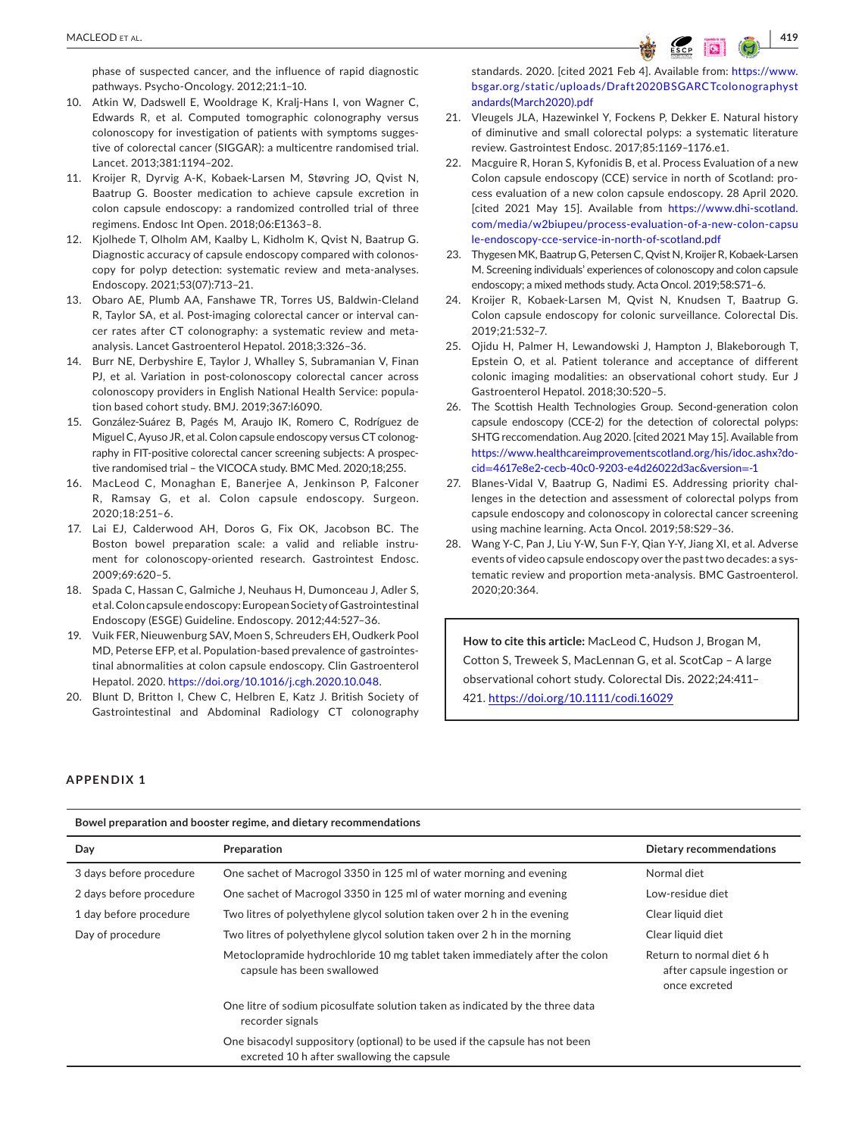phase of suspected cancer, and the influence of rapid diagnostic pathways. Psycho-Oncology. 2012;21:1–10.

- <span id="page-8-0"></span>10. Atkin W, Dadswell E, Wooldrage K, Kralj-Hans I, von Wagner C, Edwards R, et al. Computed tomographic colonography versus colonoscopy for investigation of patients with symptoms suggestive of colorectal cancer (SIGGAR): a multicentre randomised trial. Lancet. 2013;381:1194–202.
- <span id="page-8-1"></span>11. Kroijer R, Dyrvig A-K, Kobaek-Larsen M, Støvring JO, Qvist N, Baatrup G. Booster medication to achieve capsule excretion in colon capsule endoscopy: a randomized controlled trial of three regimens. Endosc Int Open. 2018;06:E1363–8.
- <span id="page-8-2"></span>12. Kjolhede T, Olholm AM, Kaalby L, Kidholm K, Qvist N, Baatrup G. Diagnostic accuracy of capsule endoscopy compared with colonoscopy for polyp detection: systematic review and meta-analyses. Endoscopy. 2021;53(07):713–21.
- 13. Obaro AE, Plumb AA, Fanshawe TR, Torres US, Baldwin-Cleland R, Taylor SA, et al. Post-imaging colorectal cancer or interval cancer rates after CT colonography: a systematic review and metaanalysis. Lancet Gastroenterol Hepatol. 2018;3:326–36.
- 14. Burr NE, Derbyshire E, Taylor J, Whalley S, Subramanian V, Finan PJ, et al. Variation in post-colonoscopy colorectal cancer across colonoscopy providers in English National Health Service: population based cohort study. BMJ. 2019;367:l6090.
- <span id="page-8-6"></span>15. González-Suárez B, Pagés M, Araujo IK, Romero C, Rodríguez de Miguel C, Ayuso JR, et al. Colon capsule endoscopy versus CT colonography in FIT-positive colorectal cancer screening subjects: A prospective randomised trial – the VICOCA study. BMC Med. 2020;18;255.
- <span id="page-8-3"></span>16. MacLeod C, Monaghan E, Banerjee A, Jenkinson P, Falconer R, Ramsay G, et al. Colon capsule endoscopy. Surgeon. 2020;18:251–6.
- <span id="page-8-4"></span>17. Lai EJ, Calderwood AH, Doros G, Fix OK, Jacobson BC. The Boston bowel preparation scale: a valid and reliable instrument for colonoscopy-oriented research. Gastrointest Endosc. 2009;69:620–5.
- <span id="page-8-5"></span>18. Spada C, Hassan C, Galmiche J, Neuhaus H, Dumonceau J, Adler S, et al. Colon capsule endoscopy: European Society of Gastrointestinal Endoscopy (ESGE) Guideline. Endoscopy. 2012;44:527–36.
- 19. Vuik FER, Nieuwenburg SAV, Moen S, Schreuders EH, Oudkerk Pool MD, Peterse EFP, et al. Population-based prevalence of gastrointestinal abnormalities at colon capsule endoscopy. Clin Gastroenterol Hepatol. 2020. <https://doi.org/10.1016/j.cgh.2020.10.048>.
- <span id="page-8-7"></span>20. Blunt D, Britton I, Chew C, Helbren E, Katz J. British Society of Gastrointestinal and Abdominal Radiology CT colonography

standards. 2020. [cited 2021 Feb 4]. Available from: [https://www.](https://www.bsgar.org/static/uploads/Draft2020BSGARCTcolonographystandards(March2020).pdf) [bsgar.org/static/uploads/Draft2020BSGARCTcolonographyst](https://www.bsgar.org/static/uploads/Draft2020BSGARCTcolonographystandards(March2020).pdf) [andards\(March2020\).pdf](https://www.bsgar.org/static/uploads/Draft2020BSGARCTcolonographystandards(March2020).pdf)

- <span id="page-8-8"></span>21. Vleugels JLA, Hazewinkel Y, Fockens P, Dekker E. Natural history of diminutive and small colorectal polyps: a systematic literature review. Gastrointest Endosc. 2017;85:1169–1176.e1.
- <span id="page-8-9"></span>22. Macguire R, Horan S, Kyfonidis B, et al. Process Evaluation of a new Colon capsule endoscopy (CCE) service in north of Scotland: process evaluation of a new colon capsule endoscopy. 28 April 2020. [cited 2021 May 15]. Available from [https://www.dhi-scotland.](https://www.dhi-scotland.com/media/w2biupeu/process-evaluation-of-a-new-colon-capsule-endoscopy-cce-service-in-north-of-scotland.pdf) [com/media/w2biupeu/process-evaluation-of-a-new-colon-capsu](https://www.dhi-scotland.com/media/w2biupeu/process-evaluation-of-a-new-colon-capsule-endoscopy-cce-service-in-north-of-scotland.pdf) [le-endoscopy-cce-service-in-north-of-scotland.pdf](https://www.dhi-scotland.com/media/w2biupeu/process-evaluation-of-a-new-colon-capsule-endoscopy-cce-service-in-north-of-scotland.pdf)
- <span id="page-8-10"></span>23. Thygesen MK, Baatrup G, Petersen C, Qvist N, Kroijer R, Kobaek-Larsen M. Screening individuals' experiences of colonoscopy and colon capsule endoscopy; a mixed methods study. Acta Oncol. 2019;58:S71–6.
- 24. Kroijer R, Kobaek-Larsen M, Qvist N, Knudsen T, Baatrup G. Colon capsule endoscopy for colonic surveillance. Colorectal Dis. 2019;21:532–7.
- 25. Ojidu H, Palmer H, Lewandowski J, Hampton J, Blakeborough T, Epstein O, et al. Patient tolerance and acceptance of different colonic imaging modalities: an observational cohort study. Eur J Gastroenterol Hepatol. 2018;30:520–5.
- <span id="page-8-11"></span>26. The Scottish Health Technologies Group. Second-generation colon capsule endoscopy (CCE-2) for the detection of colorectal polyps: SHTG reccomendation. Aug 2020. [cited 2021 May 15]. Available from [https://www.healthcareimprovementscotland.org/his/idoc.ashx?do](https://www.healthcareimprovementscotland.org/his/idoc.ashx?docid=4617e8e2-cecb-40c0-9203-e4d26022d3ac&version=-1)cid=[4617e8e2-cecb-40c0-9203-e4d26022d3ac&version](https://www.healthcareimprovementscotland.org/his/idoc.ashx?docid=4617e8e2-cecb-40c0-9203-e4d26022d3ac&version=-1)=-1
- <span id="page-8-12"></span>27. Blanes-Vidal V, Baatrup G, Nadimi ES. Addressing priority challenges in the detection and assessment of colorectal polyps from capsule endoscopy and colonoscopy in colorectal cancer screening using machine learning. Acta Oncol. 2019;58:S29–36.
- <span id="page-8-13"></span>28. Wang Y-C, Pan J, Liu Y-W, Sun F-Y, Qian Y-Y, Jiang XI, et al. Adverse events of video capsule endoscopy over the past two decades: a systematic review and proportion meta-analysis. BMC Gastroenterol. 2020;20:364.

**How to cite this article:** MacLeod C, Hudson J, Brogan M, Cotton S, Treweek S, MacLennan G, et al. ScotCap – A large observational cohort study. Colorectal Dis. 2022;24:411– 421. <https://doi.org/10.1111/codi.16029>

# **APPENDIX 1**

| Bowel preparation and booster regime, and dietary recommendations |                                                                                                                           |                                                                          |  |  |  |
|-------------------------------------------------------------------|---------------------------------------------------------------------------------------------------------------------------|--------------------------------------------------------------------------|--|--|--|
| Day                                                               | Preparation                                                                                                               | Dietary recommendations                                                  |  |  |  |
| 3 days before procedure                                           | One sachet of Macrogol 3350 in 125 ml of water morning and evening                                                        | Normal diet                                                              |  |  |  |
| 2 days before procedure                                           | One sachet of Macrogol 3350 in 125 ml of water morning and evening                                                        | Low-residue diet                                                         |  |  |  |
| 1 day before procedure                                            | Two litres of polyethylene glycol solution taken over 2 h in the evening                                                  | Clear liquid diet                                                        |  |  |  |
| Day of procedure                                                  | Two litres of polyethylene glycol solution taken over 2 h in the morning                                                  | Clear liquid diet                                                        |  |  |  |
|                                                                   | Metoclopramide hydrochloride 10 mg tablet taken immediately after the colon<br>capsule has been swallowed                 | Return to normal diet 6 h<br>after capsule ingestion or<br>once excreted |  |  |  |
|                                                                   | One litre of sodium picosulfate solution taken as indicated by the three data<br>recorder signals                         |                                                                          |  |  |  |
|                                                                   | One bisacodyl suppository (optional) to be used if the capsule has not been<br>excreted 10 h after swallowing the capsule |                                                                          |  |  |  |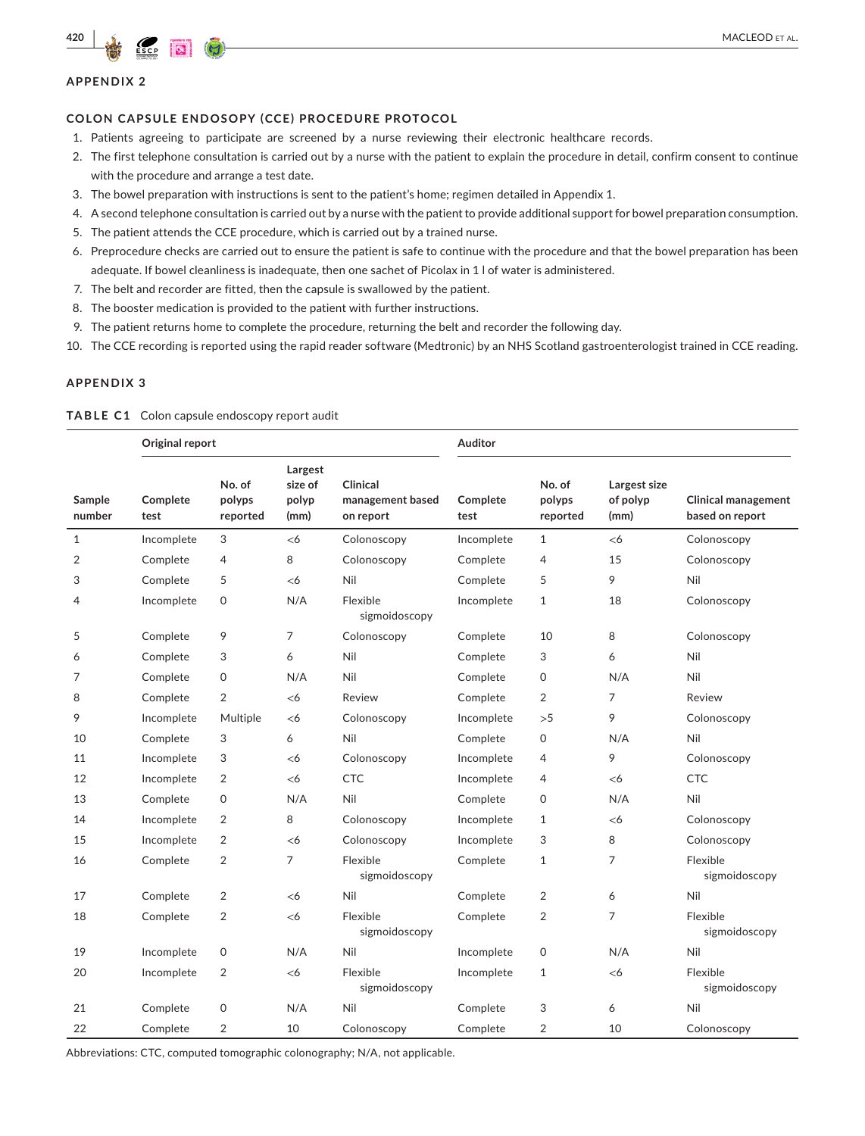## **APPENDIX 2**

#### **COLON CAPSULE ENDOSOPY (CCE) PROCEDURE PROTOCOL**

- 1. Patients agreeing to participate are screened by a nurse reviewing their electronic healthcare records.
- 2. The first telephone consultation is carried out by a nurse with the patient to explain the procedure in detail, confirm consent to continue with the procedure and arrange a test date.
- 3. The bowel preparation with instructions is sent to the patient's home; regimen detailed in Appendix 1.
- 4. A second telephone consultation is carried out by a nurse with the patient to provide additional support for bowel preparation consumption.
- 5. The patient attends the CCE procedure, which is carried out by a trained nurse.
- 6. Preprocedure checks are carried out to ensure the patient is safe to continue with the procedure and that the bowel preparation has been adequate. If bowel cleanliness is inadequate, then one sachet of Picolax in 1 l of water is administered.
- 7. The belt and recorder are fitted, then the capsule is swallowed by the patient.
- 8. The booster medication is provided to the patient with further instructions.
- 9. The patient returns home to complete the procedure, returning the belt and recorder the following day.
- 10. The CCE recording is reported using the rapid reader software (Medtronic) by an NHS Scotland gastroenterologist trained in CCE reading.

## **APPENDIX 3**

|                  | Original report  |                              |                                     |                                           | Auditor          |                              |                                  |                                               |
|------------------|------------------|------------------------------|-------------------------------------|-------------------------------------------|------------------|------------------------------|----------------------------------|-----------------------------------------------|
| Sample<br>number | Complete<br>test | No. of<br>polyps<br>reported | Largest<br>size of<br>polyp<br>(mm) | Clinical<br>management based<br>on report | Complete<br>test | No. of<br>polyps<br>reported | Largest size<br>of polyp<br>(mm) | <b>Clinical management</b><br>based on report |
| $\mathbf{1}$     | Incomplete       | 3                            | <6                                  | Colonoscopy                               | Incomplete       | $\mathbf{1}$                 | <6                               | Colonoscopy                                   |
| $\overline{2}$   | Complete         | 4                            | 8                                   | Colonoscopy                               | Complete         | 4                            | 15                               | Colonoscopy                                   |
| 3                | Complete         | 5                            | <6                                  | Nil                                       | Complete         | 5                            | 9                                | Nil                                           |
| 4                | Incomplete       | 0                            | N/A                                 | Flexible<br>sigmoidoscopy                 | Incomplete       | $\mathbf{1}$                 | 18                               | Colonoscopy                                   |
| 5                | Complete         | 9                            | 7                                   | Colonoscopy                               | Complete         | 10                           | 8                                | Colonoscopy                                   |
| 6                | Complete         | 3                            | 6                                   | Nil                                       | Complete         | 3                            | 6                                | Nil                                           |
| 7                | Complete         | $\mathsf{O}$                 | N/A                                 | Nil                                       | Complete         | $\mathbf 0$                  | N/A                              | Nil                                           |
| 8                | Complete         | $\overline{2}$               | <6                                  | Review                                    | Complete         | $\overline{2}$               | $\overline{7}$                   | Review                                        |
| 9                | Incomplete       | Multiple                     | <6                                  | Colonoscopy                               | Incomplete       | >5                           | 9                                | Colonoscopy                                   |
| 10               | Complete         | 3                            | 6                                   | Nil                                       | Complete         | 0                            | N/A                              | Nil                                           |
| 11               | Incomplete       | 3                            | $<$ 6                               | Colonoscopy                               | Incomplete       | $\overline{4}$               | 9                                | Colonoscopy                                   |
| 12               | Incomplete       | 2                            | <6                                  | CTC                                       | Incomplete       | 4                            | <6                               | <b>CTC</b>                                    |
| 13               | Complete         | 0                            | N/A                                 | Nil                                       | Complete         | $\mathbf 0$                  | N/A                              | Nil                                           |
| 14               | Incomplete       | $\overline{2}$               | 8                                   | Colonoscopy                               | Incomplete       | $\mathbf{1}$                 | $<$ 6                            | Colonoscopy                                   |
| 15               | Incomplete       | 2                            | <6                                  | Colonoscopy                               | Incomplete       | 3                            | 8                                | Colonoscopy                                   |
| 16               | Complete         | $\overline{2}$               | $\overline{7}$                      | Flexible<br>sigmoidoscopy                 | Complete         | $\mathbf{1}$                 | $\overline{7}$                   | Flexible<br>sigmoidoscopy                     |
| 17               | Complete         | 2                            | $<$ 6                               | Nil                                       | Complete         | $\overline{2}$               | 6                                | Nil                                           |
| 18               | Complete         | 2                            | <6                                  | Flexible<br>sigmoidoscopy                 | Complete         | $\overline{2}$               | $\overline{7}$                   | Flexible<br>sigmoidoscopy                     |
| 19               | Incomplete       | $\mathsf{O}$                 | N/A                                 | Nil                                       | Incomplete       | $\mathsf{O}\xspace$          | N/A                              | Nil                                           |
| 20               | Incomplete       | 2                            | <6                                  | Flexible<br>sigmoidoscopy                 | Incomplete       | $\mathbf{1}$                 | <6                               | Flexible<br>sigmoidoscopy                     |
| 21               | Complete         | 0                            | N/A                                 | Nil                                       | Complete         | 3                            | 6                                | Nil                                           |
| 22               | Complete         | $\overline{2}$               | 10                                  | Colonoscopy                               | Complete         | $\overline{2}$               | 10                               | Colonoscopy                                   |

#### <span id="page-9-0"></span>**TABLE C1** Colon capsule endoscopy report audit

Abbreviations: CTC, computed tomographic colonography; N/A, not applicable.